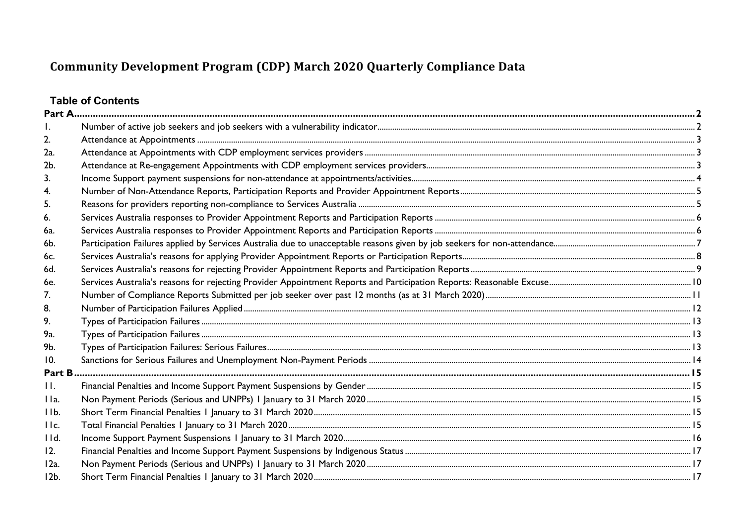# **Table of Contents**

| 2.                |  |
|-------------------|--|
| 2a.               |  |
| 2b.               |  |
| 3.                |  |
| 4.                |  |
| 5.                |  |
| 6.                |  |
| 6a.               |  |
| 6b.               |  |
| 6с.               |  |
| 6d.               |  |
| 6e.               |  |
| 7 <sub>1</sub>    |  |
| 8.                |  |
| 9.                |  |
| 9а.               |  |
| 9b.               |  |
| 10.               |  |
| Part B            |  |
| $\prod_{i=1}^{n}$ |  |
| IIa.              |  |
| IIb.              |  |
| IIc.              |  |
| IId.              |  |
| 12.               |  |
| 12a.              |  |
| $12b$ .           |  |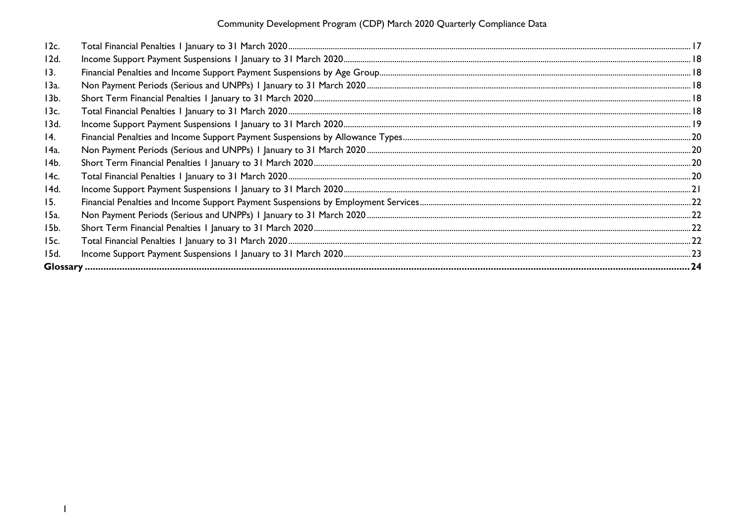| 12c.            |  |
|-----------------|--|
| 12d.            |  |
| 13.             |  |
| 13a.            |  |
| 13 <sub>b</sub> |  |
| 13c.            |  |
| 13d.            |  |
| 14.             |  |
| 14a.            |  |
| 14b.            |  |
| 14c.            |  |
| 14d.            |  |
| 15.             |  |
| 15a.            |  |
| 15b.            |  |
| 15c.            |  |
| 15d.            |  |
|                 |  |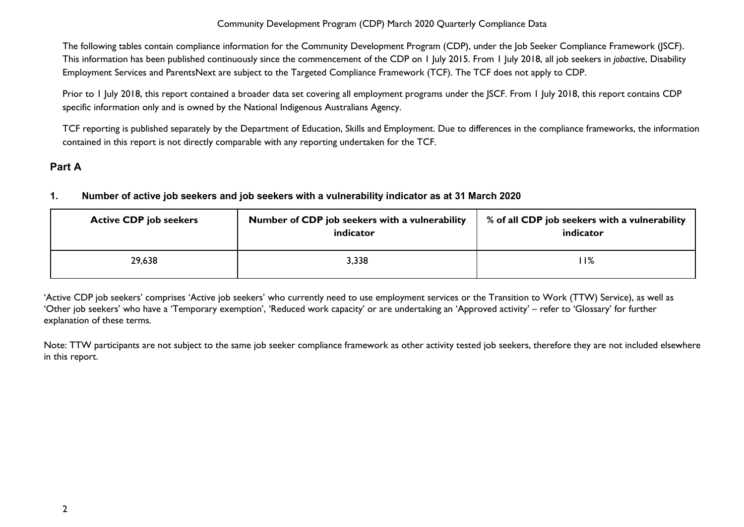The following tables contain compliance information for the Community Development Program (CDP), under the Job Seeker Compliance Framework (JSCF). This information has been published continuously since the commencement of the CDP on 1 July 2015. From 1 July 2018, all job seekers in *jobactive*, Disability Employment Services and ParentsNext are subject to the Targeted Compliance Framework (TCF). The TCF does not apply to CDP.

Prior to 1 July 2018, this report contained a broader data set covering all employment programs under the JSCF. From 1 July 2018, this report contains CDP specific information only and is owned by the National Indigenous Australians Agency.

TCF reporting is published separately by the Department of Education, Skills and Employment. Due to differences in the compliance frameworks, the information contained in this report is not directly comparable with any reporting undertaken for the TCF.

# <span id="page-2-1"></span><span id="page-2-0"></span>**Part A**

## **1. Number of active job seekers and job seekers with a vulnerability indicator as at 31 March 2020**

| <b>Active CDP job seekers</b> | Number of CDP job seekers with a vulnerability<br>indicator | % of all CDP job seekers with a vulnerability<br>indicator |
|-------------------------------|-------------------------------------------------------------|------------------------------------------------------------|
| 29,638                        | 3,338                                                       | l I%                                                       |

'Active CDP job seekers' comprises 'Active job seekers' who currently need to use employment services or the Transition to Work (TTW) Service), as well as 'Other job seekers' who have a 'Temporary exemption', 'Reduced work capacity' or are undertaking an 'Approved activity' – refer to 'Glossary' for further explanation of these terms.

Note: TTW participants are not subject to the same job seeker compliance framework as other activity tested job seekers, therefore they are not included elsewhere in this report.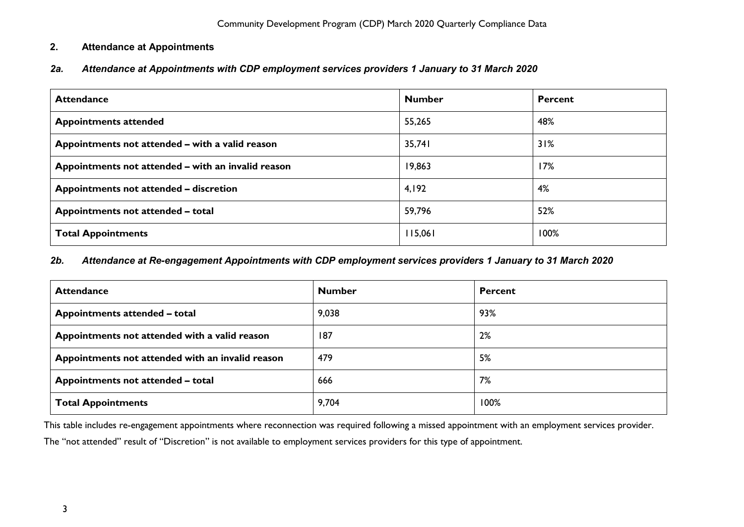## <span id="page-3-0"></span>**2. Attendance at Appointments**

<span id="page-3-1"></span>*2a. Attendance at Appointments with CDP employment services providers 1 January to 31 March 2020*

| <b>Attendance</b>                                  | <b>Number</b> | <b>Percent</b> |
|----------------------------------------------------|---------------|----------------|
| <b>Appointments attended</b>                       | 55,265        | 48%            |
| Appointments not attended - with a valid reason    | 35,741        | 31%            |
| Appointments not attended – with an invalid reason | 19,863        | 17%            |
| Appointments not attended - discretion             | 4,192         | 4%             |
| Appointments not attended - total                  | 59,796        | 52%            |
| <b>Total Appointments</b>                          | 115,061       | 100%           |

#### <span id="page-3-2"></span>*2b. Attendance at Re-engagement Appointments with CDP employment services providers 1 January to 31 March 2020*

| <b>Attendance</b>                                | <b>Number</b> | Percent |
|--------------------------------------------------|---------------|---------|
| Appointments attended - total                    | 9,038         | 93%     |
| Appointments not attended with a valid reason    | 187           | 2%      |
| Appointments not attended with an invalid reason | 479           | 5%      |
| Appointments not attended - total                | 666           | 7%      |
| <b>Total Appointments</b>                        | 9,704         | 100%    |

This table includes re-engagement appointments where reconnection was required following a missed appointment with an employment services provider.

The "not attended" result of "Discretion" is not available to employment services providers for this type of appointment.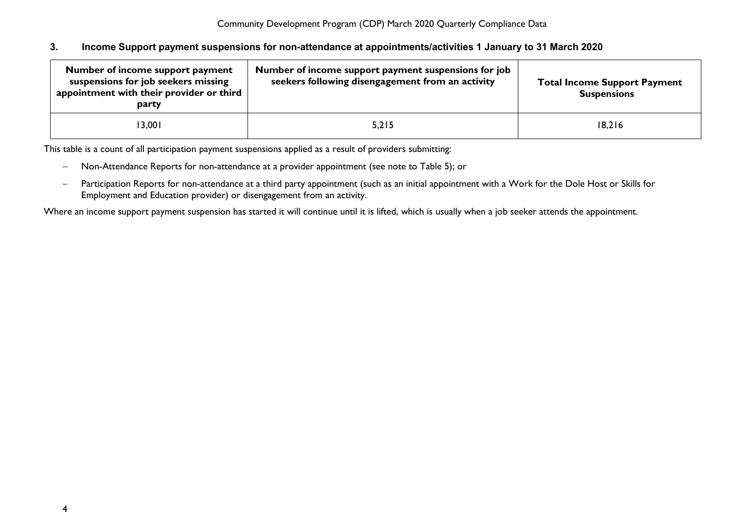#### <span id="page-4-0"></span>**3. Income Support payment suspensions for non-attendance at appointments/activities 1 January to 31 March 2020**

| Number of income support payment<br>suspensions for job seekers missing<br>appointment with their provider or third<br>party | Number of income support payment suspensions for job<br>seekers following disengagement from an activity | <b>Total Income Support Payment</b><br><b>Suspensions</b> |
|------------------------------------------------------------------------------------------------------------------------------|----------------------------------------------------------------------------------------------------------|-----------------------------------------------------------|
| 13,001                                                                                                                       | 5,215                                                                                                    | 18,216                                                    |

This table is a count of all participation payment suspensions applied as a result of providers submitting:

- − Non-Attendance Reports for non-attendance at a provider appointment (see note to Table 5); or
- − Participation Reports for non-attendance at a third party appointment (such as an initial appointment with a Work for the Dole Host or Skills for Employment and Education provider) or disengagement from an activity.

Where an income support payment suspension has started it will continue until it is lifted, which is usually when a job seeker attends the appointment.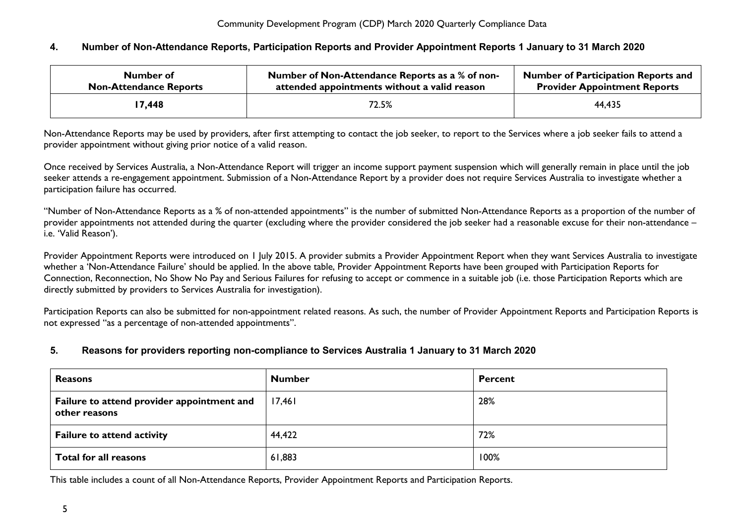#### <span id="page-5-0"></span>**4. Number of Non-Attendance Reports, Participation Reports and Provider Appointment Reports 1 January to 31 March 2020**

| Number of                     | Number of Non-Attendance Reports as a % of non- | <b>Number of Participation Reports and</b> |
|-------------------------------|-------------------------------------------------|--------------------------------------------|
| <b>Non-Attendance Reports</b> | attended appointments without a valid reason    | <b>Provider Appointment Reports</b>        |
| 7,448                         | 72.5%                                           | 44,435                                     |

Non-Attendance Reports may be used by providers, after first attempting to contact the job seeker, to report to the Services where a job seeker fails to attend a provider appointment without giving prior notice of a valid reason.

Once received by Services Australia, a Non-Attendance Report will trigger an income support payment suspension which will generally remain in place until the job seeker attends a re-engagement appointment. Submission of a Non-Attendance Report by a provider does not require Services Australia to investigate whether a participation failure has occurred.

"Number of Non-Attendance Reports as a % of non-attended appointments" is the number of submitted Non-Attendance Reports as a proportion of the number of provider appointments not attended during the quarter (excluding where the provider considered the job seeker had a reasonable excuse for their non-attendance – i.e. 'Valid Reason').

Provider Appointment Reports were introduced on 1 July 2015. A provider submits a Provider Appointment Report when they want Services Australia to investigate whether a 'Non-Attendance Failure' should be applied. In the above table, Provider Appointment Reports have been grouped with Participation Reports for Connection, Reconnection, No Show No Pay and Serious Failures for refusing to accept or commence in a suitable job (i.e. those Participation Reports which are directly submitted by providers to Services Australia for investigation).

Participation Reports can also be submitted for non-appointment related reasons. As such, the number of Provider Appointment Reports and Participation Reports is not expressed "as a percentage of non-attended appointments".

#### <span id="page-5-1"></span>**5. Reasons for providers reporting non-compliance to Services Australia 1 January to 31 March 2020**

| <b>Reasons</b>                                              | <b>Number</b> | <b>Percent</b> |
|-------------------------------------------------------------|---------------|----------------|
| Failure to attend provider appointment and<br>other reasons | 17,461        | 28%            |
| <b>Failure to attend activity</b>                           | 44,422        | 72%            |
| <b>Total for all reasons</b>                                | 61,883        | 100%           |

This table includes a count of all Non-Attendance Reports, Provider Appointment Reports and Participation Reports.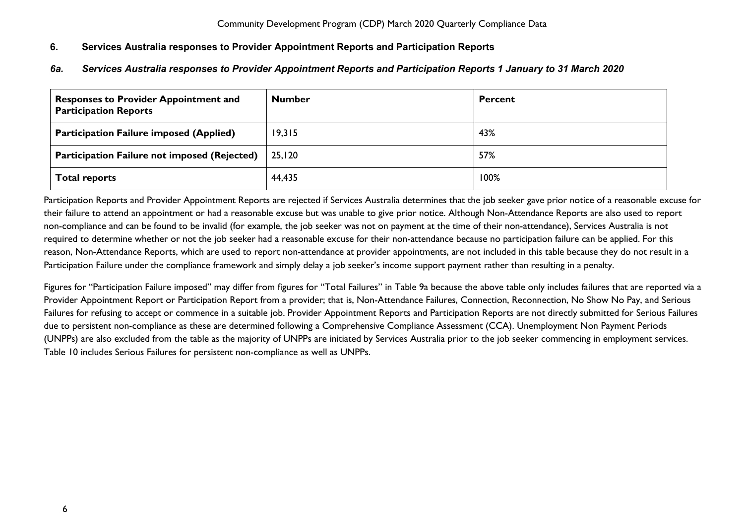## <span id="page-6-0"></span>**6. Services Australia responses to Provider Appointment Reports and Participation Reports**

## <span id="page-6-1"></span>*6a. Services Australia responses to Provider Appointment Reports and Participation Reports 1 January to 31 March 2020*

| <b>Responses to Provider Appointment and</b><br><b>Participation Reports</b> | <b>Number</b> | <b>Percent</b> |
|------------------------------------------------------------------------------|---------------|----------------|
| <b>Participation Failure imposed (Applied)</b>                               | 19,315        | 43%            |
| <b>Participation Failure not imposed (Rejected)</b>                          | 25.120        | 57%            |
| <b>Total reports</b>                                                         | 44,435        | 100%           |

Participation Reports and Provider Appointment Reports are rejected if Services Australia determines that the job seeker gave prior notice of a reasonable excuse for their failure to attend an appointment or had a reasonable excuse but was unable to give prior notice. Although Non-Attendance Reports are also used to report non-compliance and can be found to be invalid (for example, the job seeker was not on payment at the time of their non-attendance), Services Australia is not required to determine whether or not the job seeker had a reasonable excuse for their non-attendance because no participation failure can be applied. For this reason, Non-Attendance Reports, which are used to report non-attendance at provider appointments, are not included in this table because they do not result in a Participation Failure under the compliance framework and simply delay a job seeker's income support payment rather than resulting in a penalty.

Figures for "Participation Failure imposed" may differ from figures for "Total Failures" in Table 9a because the above table only includes failures that are reported via a Provider Appointment Report or Participation Report from a provider; that is, Non-Attendance Failures, Connection, Reconnection, No Show No Pay, and Serious Failures for refusing to accept or commence in a suitable job. Provider Appointment Reports and Participation Reports are not directly submitted for Serious Failures due to persistent non-compliance as these are determined following a Comprehensive Compliance Assessment (CCA). Unemployment Non Payment Periods (UNPPs) are also excluded from the table as the majority of UNPPs are initiated by Services Australia prior to the job seeker commencing in employment services. Table 10 includes Serious Failures for persistent non-compliance as well as UNPPs.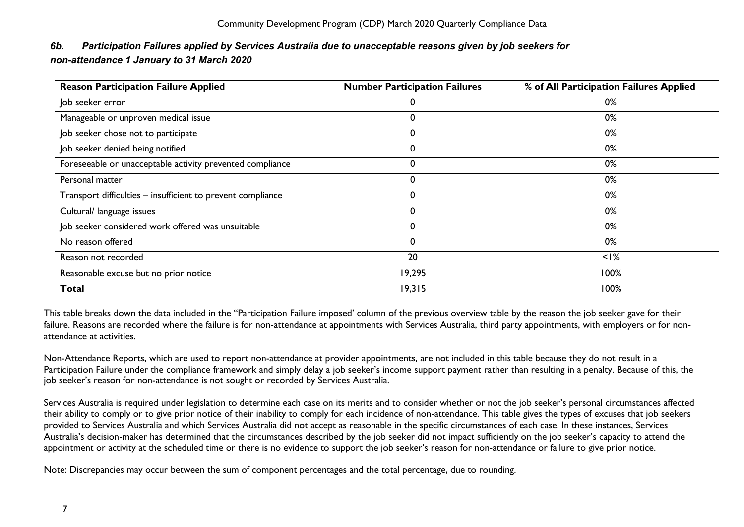# <span id="page-7-0"></span>*6b. Participation Failures applied by Services Australia due to unacceptable reasons given by job seekers for non-attendance 1 January to 31 March 2020*

| <b>Reason Participation Failure Applied</b>                 | <b>Number Participation Failures</b> | % of All Participation Failures Applied |
|-------------------------------------------------------------|--------------------------------------|-----------------------------------------|
| Job seeker error                                            |                                      | 0%                                      |
| Manageable or unproven medical issue                        |                                      | 0%                                      |
| Job seeker chose not to participate                         | 0                                    | 0%                                      |
| Job seeker denied being notified                            |                                      | 0%                                      |
| Foreseeable or unacceptable activity prevented compliance   | 0                                    | 0%                                      |
| Personal matter                                             | 0                                    | 0%                                      |
| Transport difficulties - insufficient to prevent compliance | 0                                    | 0%                                      |
| Cultural/ language issues                                   | $\Omega$                             | 0%                                      |
| Job seeker considered work offered was unsuitable           | $\Omega$                             | 0%                                      |
| No reason offered                                           | 0                                    | 0%                                      |
| Reason not recorded                                         | 20                                   | $<$ $\frac{1}{6}$                       |
| Reasonable excuse but no prior notice                       | 19,295                               | 100%                                    |
| <b>Total</b>                                                | 19,315                               | 100%                                    |

This table breaks down the data included in the "Participation Failure imposed' column of the previous overview table by the reason the job seeker gave for their failure. Reasons are recorded where the failure is for non-attendance at appointments with Services Australia, third party appointments, with employers or for nonattendance at activities.

Non-Attendance Reports, which are used to report non-attendance at provider appointments, are not included in this table because they do not result in a Participation Failure under the compliance framework and simply delay a job seeker's income support payment rather than resulting in a penalty. Because of this, the job seeker's reason for non-attendance is not sought or recorded by Services Australia.

Services Australia is required under legislation to determine each case on its merits and to consider whether or not the job seeker's personal circumstances affected their ability to comply or to give prior notice of their inability to comply for each incidence of non-attendance. This table gives the types of excuses that job seekers provided to Services Australia and which Services Australia did not accept as reasonable in the specific circumstances of each case. In these instances, Services Australia's decision-maker has determined that the circumstances described by the job seeker did not impact sufficiently on the job seeker's capacity to attend the appointment or activity at the scheduled time or there is no evidence to support the job seeker's reason for non-attendance or failure to give prior notice.

Note: Discrepancies may occur between the sum of component percentages and the total percentage, due to rounding.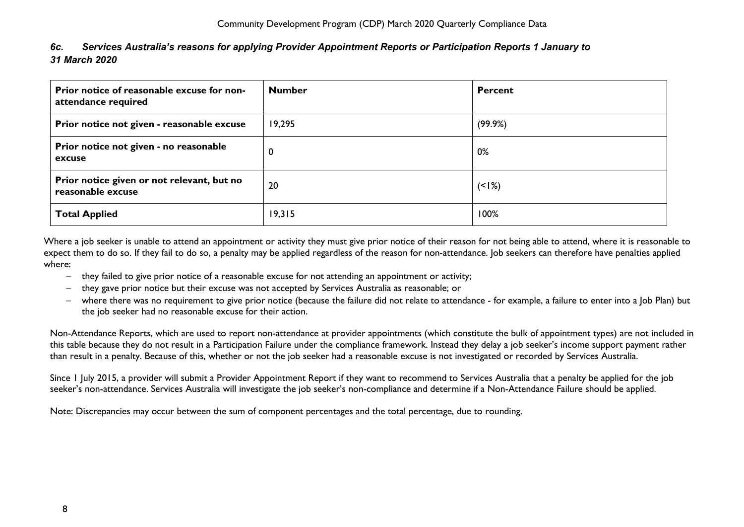## <span id="page-8-0"></span>*6c. Services Australia's reasons for applying Provider Appointment Reports or Participation Reports 1 January to 31 March 2020*

| Prior notice of reasonable excuse for non-<br>attendance required | <b>Number</b> | Percent |
|-------------------------------------------------------------------|---------------|---------|
| Prior notice not given - reasonable excuse                        | 19,295        | (99.9%) |
| Prior notice not given - no reasonable<br>excuse                  | 0             | 0%      |
| Prior notice given or not relevant, but no<br>reasonable excuse   | 20            | $(1\%)$ |
| <b>Total Applied</b>                                              | 19,315        | 100%    |

Where a job seeker is unable to attend an appointment or activity they must give prior notice of their reason for not being able to attend, where it is reasonable to expect them to do so. If they fail to do so, a penalty may be applied regardless of the reason for non-attendance. Job seekers can therefore have penalties applied where:

- − they failed to give prior notice of a reasonable excuse for not attending an appointment or activity;
- − they gave prior notice but their excuse was not accepted by Services Australia as reasonable; or
- − where there was no requirement to give prior notice (because the failure did not relate to attendance for example, a failure to enter into a Job Plan) but the job seeker had no reasonable excuse for their action.

Non-Attendance Reports, which are used to report non-attendance at provider appointments (which constitute the bulk of appointment types) are not included in this table because they do not result in a Participation Failure under the compliance framework. Instead they delay a job seeker's income support payment rather than result in a penalty. Because of this, whether or not the job seeker had a reasonable excuse is not investigated or recorded by Services Australia.

Since 1 July 2015, a provider will submit a Provider Appointment Report if they want to recommend to Services Australia that a penalty be applied for the job seeker's non-attendance. Services Australia will investigate the job seeker's non-compliance and determine if a Non-Attendance Failure should be applied.

Note: Discrepancies may occur between the sum of component percentages and the total percentage, due to rounding.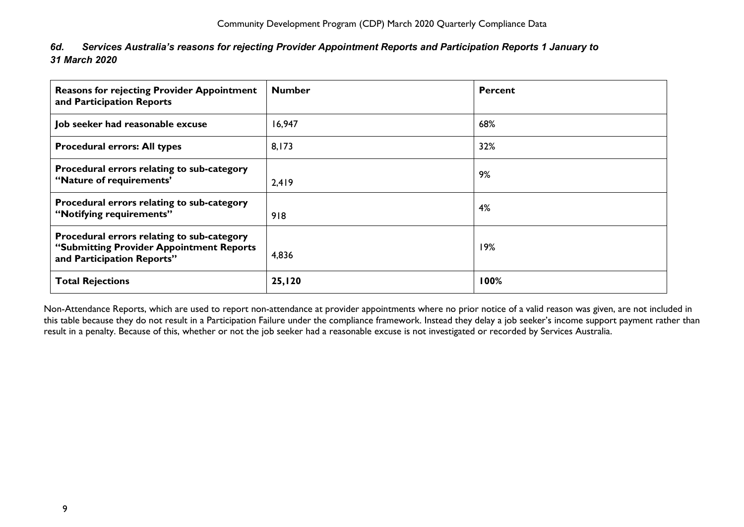<span id="page-9-0"></span>

| 6d. | Services Australia's reasons for rejecting Provider Appointment Reports and Participation Reports 1 January to |  |
|-----|----------------------------------------------------------------------------------------------------------------|--|
|     | 31 March 2020                                                                                                  |  |

| <b>Reasons for rejecting Provider Appointment</b><br>and Participation Reports                                       | <b>Number</b> | <b>Percent</b> |
|----------------------------------------------------------------------------------------------------------------------|---------------|----------------|
| Job seeker had reasonable excuse                                                                                     | 16,947        | 68%            |
| <b>Procedural errors: All types</b>                                                                                  | 8,173         | 32%            |
| Procedural errors relating to sub-category<br>"Nature of requirements"                                               | 2,419         | 9%             |
| Procedural errors relating to sub-category<br>"Notifying requirements"                                               | 918           | 4%             |
| Procedural errors relating to sub-category<br>"Submitting Provider Appointment Reports<br>and Participation Reports" | 4,836         | 19%            |
| <b>Total Rejections</b>                                                                                              | 25,120        | 100%           |

Non-Attendance Reports, which are used to report non-attendance at provider appointments where no prior notice of a valid reason was given, are not included in this table because they do not result in a Participation Failure under the compliance framework. Instead they delay a job seeker's income support payment rather than result in a penalty. Because of this, whether or not the job seeker had a reasonable excuse is not investigated or recorded by Services Australia.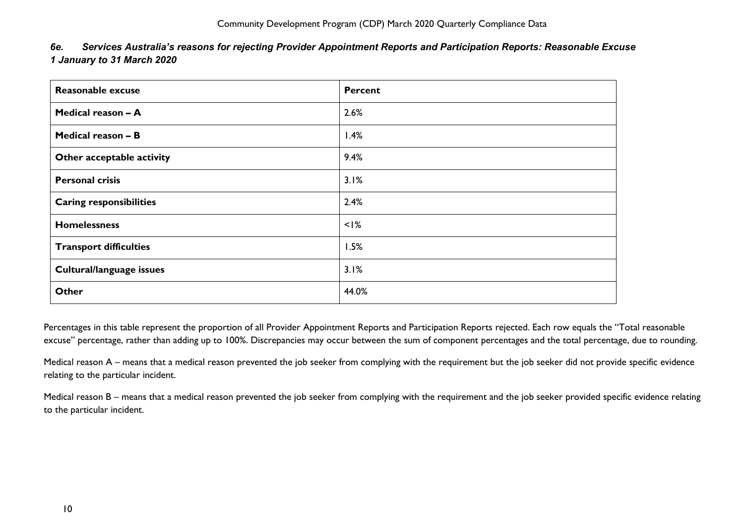<span id="page-10-0"></span>

| 6e. | Services Australia's reasons for rejecting Provider Appointment Reports and Participation Reports: Reasonable Excuse |
|-----|----------------------------------------------------------------------------------------------------------------------|
|     | 1 January to 31 March 2020                                                                                           |

| <b>Reasonable excuse</b>       | <b>Percent</b> |
|--------------------------------|----------------|
| Medical reason - A             | 2.6%           |
| Medical reason - B             | 1.4%           |
| Other acceptable activity      | 9.4%           |
| <b>Personal crisis</b>         | 3.1%           |
| <b>Caring responsibilities</b> | 2.4%           |
| <b>Homelessness</b>            | $<$ $1\%$      |
| <b>Transport difficulties</b>  | 1.5%           |
| Cultural/language issues       | 3.1%           |
| <b>Other</b>                   | 44.0%          |

Percentages in this table represent the proportion of all Provider Appointment Reports and Participation Reports rejected. Each row equals the "Total reasonable excuse" percentage, rather than adding up to 100%. Discrepancies may occur between the sum of component percentages and the total percentage, due to rounding.

Medical reason A – means that a medical reason prevented the job seeker from complying with the requirement but the job seeker did not provide specific evidence relating to the particular incident.

Medical reason B – means that a medical reason prevented the job seeker from complying with the requirement and the job seeker provided specific evidence relating to the particular incident.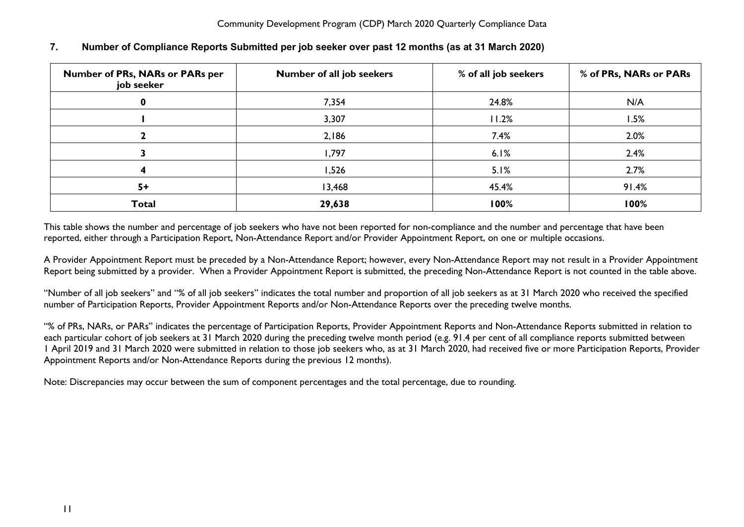| Number of PRs, NARs or PARs per<br>job seeker | Number of all job seekers | % of all job seekers | % of PRs, NARs or PARs |
|-----------------------------------------------|---------------------------|----------------------|------------------------|
|                                               | 7,354                     | 24.8%                | N/A                    |
|                                               | 3,307                     | 11.2%                | 1.5%                   |
|                                               | 2,186                     | 7.4%                 | 2.0%                   |
|                                               | 1,797                     | 6.1%                 | 2.4%                   |
|                                               | 1,526                     | 5.1%                 | 2.7%                   |
| $5+$                                          | 13,468                    | 45.4%                | 91.4%                  |
| <b>Total</b>                                  | 29,638                    | 100%                 | 100%                   |

## <span id="page-11-0"></span>**7. Number of Compliance Reports Submitted per job seeker over past 12 months (as at 31 March 2020)**

This table shows the number and percentage of job seekers who have not been reported for non-compliance and the number and percentage that have been reported, either through a Participation Report, Non-Attendance Report and/or Provider Appointment Report, on one or multiple occasions.

A Provider Appointment Report must be preceded by a Non-Attendance Report; however, every Non-Attendance Report may not result in a Provider Appointment Report being submitted by a provider. When a Provider Appointment Report is submitted, the preceding Non-Attendance Report is not counted in the table above.

"Number of all job seekers" and "% of all job seekers" indicates the total number and proportion of all job seekers as at 31 March 2020 who received the specified number of Participation Reports, Provider Appointment Reports and/or Non-Attendance Reports over the preceding twelve months.

"% of PRs, NARs, or PARs" indicates the percentage of Participation Reports, Provider Appointment Reports and Non-Attendance Reports submitted in relation to each particular cohort of job seekers at 31 March 2020 during the preceding twelve month period (e.g. 91.4 per cent of all compliance reports submitted between 1 April 2019 and 31 March 2020 were submitted in relation to those job seekers who, as at 31 March 2020, had received five or more Participation Reports, Provider Appointment Reports and/or Non-Attendance Reports during the previous 12 months).

Note: Discrepancies may occur between the sum of component percentages and the total percentage, due to rounding.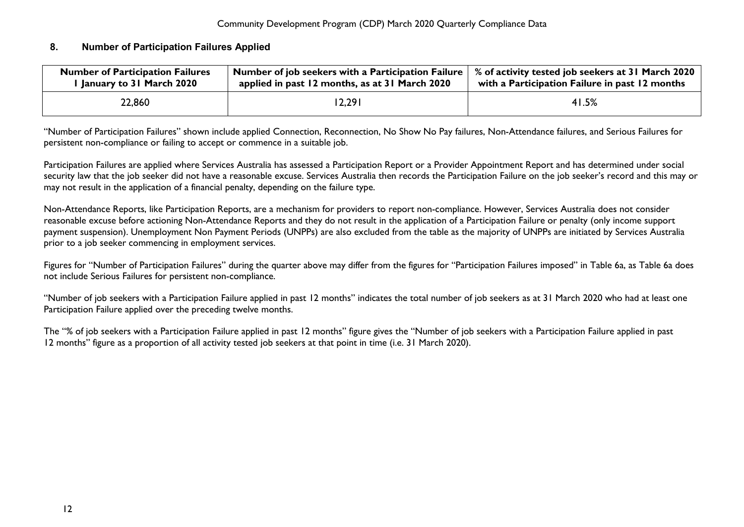### <span id="page-12-0"></span>**8. Number of Participation Failures Applied**

| <b>Number of Participation Failures</b> | Number of job seekers with a Participation Failure | % of activity tested job seekers at 31 March 2020 |
|-----------------------------------------|----------------------------------------------------|---------------------------------------------------|
| I January to 31 March 2020              | applied in past 12 months, as at 31 March 2020     | with a Participation Failure in past 12 months    |
| 22,860                                  | 12,291                                             | 41.5%                                             |

"Number of Participation Failures" shown include applied Connection, Reconnection, No Show No Pay failures, Non-Attendance failures, and Serious Failures for persistent non-compliance or failing to accept or commence in a suitable job.

Participation Failures are applied where Services Australia has assessed a Participation Report or a Provider Appointment Report and has determined under social security law that the job seeker did not have a reasonable excuse. Services Australia then records the Participation Failure on the job seeker's record and this may or may not result in the application of a financial penalty, depending on the failure type.

Non-Attendance Reports, like Participation Reports, are a mechanism for providers to report non-compliance. However, Services Australia does not consider reasonable excuse before actioning Non-Attendance Reports and they do not result in the application of a Participation Failure or penalty (only income support payment suspension). Unemployment Non Payment Periods (UNPPs) are also excluded from the table as the majority of UNPPs are initiated by Services Australia prior to a job seeker commencing in employment services.

Figures for "Number of Participation Failures" during the quarter above may differ from the figures for "Participation Failures imposed" in Table 6a, as Table 6a does not include Serious Failures for persistent non-compliance.

"Number of job seekers with a Participation Failure applied in past 12 months" indicates the total number of job seekers as at 31 March 2020 who had at least one Participation Failure applied over the preceding twelve months.

The "% of job seekers with a Participation Failure applied in past 12 months" figure gives the "Number of job seekers with a Participation Failure applied in past 12 months" figure as a proportion of all activity tested job seekers at that point in time (i.e. 31 March 2020).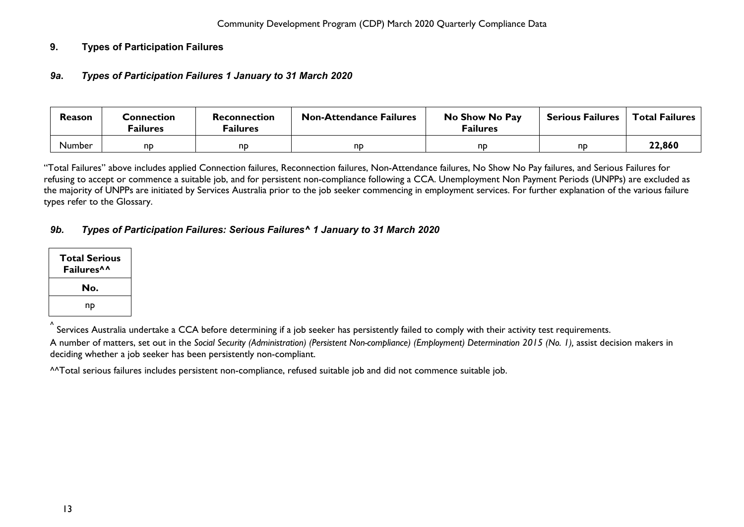## <span id="page-13-1"></span><span id="page-13-0"></span>**9. Types of Participation Failures**

#### *9a***.** *Types of Participation Failures 1 January to 31 March 2020*

| Reason        | Connection<br><sup>=</sup> ailures | Reconnection<br><sup>=</sup> ailures | No Show No Pay<br><b>Non-Attendance Failures</b><br><b>Failures</b> |    | <b>Serious Failures</b> | <b>Total Failures</b> |
|---------------|------------------------------------|--------------------------------------|---------------------------------------------------------------------|----|-------------------------|-----------------------|
| <b>Number</b> | nd                                 | nd                                   | nd                                                                  | nd | nd                      | 22,860                |

"Total Failures" above includes applied Connection failures, Reconnection failures, Non-Attendance failures, No Show No Pay failures, and Serious Failures for refusing to accept or commence a suitable job, and for persistent non-compliance following a CCA. Unemployment Non Payment Periods (UNPPs) are excluded as the majority of UNPPs are initiated by Services Australia prior to the job seeker commencing in employment services. For further explanation of the various failure types refer to the Glossary.

### <span id="page-13-2"></span>*9b. Types of Participation Failures: Serious Failures^ 1 January to 31 March 2020*

| <b>Total Serious</b><br>Failures <sup>^^</sup> |
|------------------------------------------------|
| No.                                            |
| np                                             |

 $\check{}\,$  Services Australia undertake a CCA before determining if a job seeker has persistently failed to comply with their activity test requirements.

A number of matters, set out in the *Social Security (Administration) (Persistent Non-compliance) (Employment) Determination 2015 (No. 1),* assist decision makers in deciding whether a job seeker has been persistently non-compliant.

^^Total serious failures includes persistent non-compliance, refused suitable job and did not commence suitable job.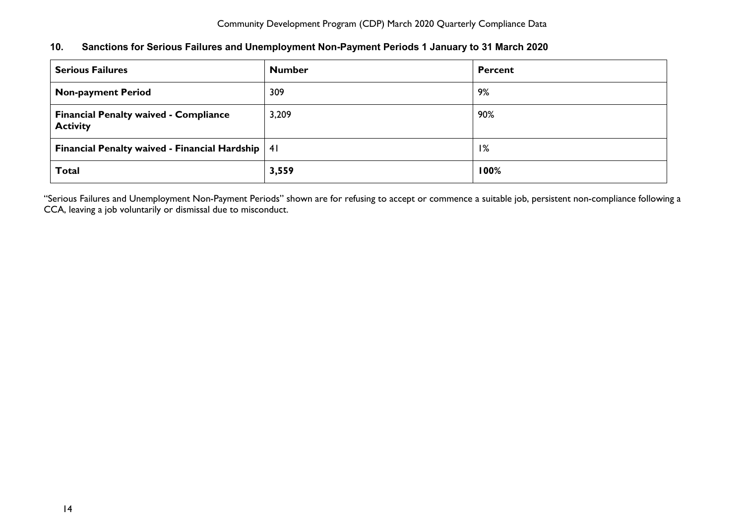<span id="page-14-0"></span>

| 10. |  |  |  | Sanctions for Serious Failures and Unemployment Non-Payment Periods 1 January to 31 March 2020 |
|-----|--|--|--|------------------------------------------------------------------------------------------------|
|-----|--|--|--|------------------------------------------------------------------------------------------------|

| <b>Serious Failures</b>                                         | <b>Number</b> | Percent |  |
|-----------------------------------------------------------------|---------------|---------|--|
| <b>Non-payment Period</b>                                       | 309           | 9%      |  |
| <b>Financial Penalty waived - Compliance</b><br><b>Activity</b> | 3,209         | 90%     |  |
| <b>Financial Penalty waived - Financial Hardship</b>            | -41           | 1%      |  |
| <b>Total</b>                                                    | 3,559         | 100%    |  |

"Serious Failures and Unemployment Non-Payment Periods" shown are for refusing to accept or commence a suitable job, persistent non-compliance following a CCA, leaving a job voluntarily or dismissal due to misconduct.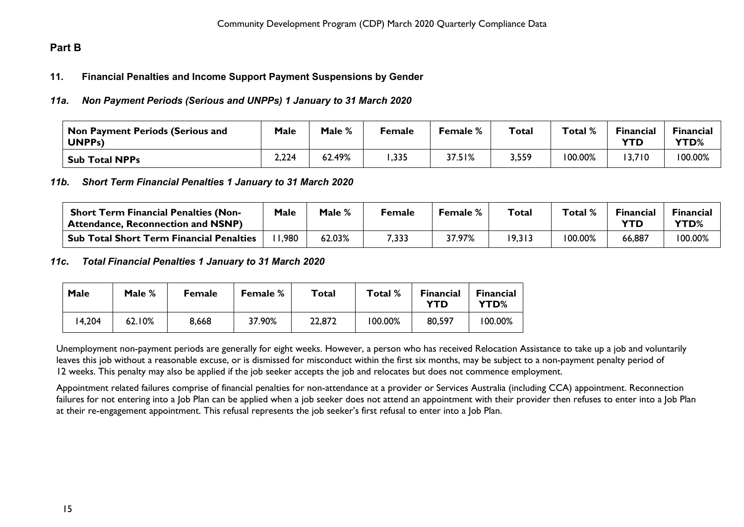# <span id="page-15-1"></span><span id="page-15-0"></span>**Part B**

### **11. Financial Penalties and Income Support Payment Suspensions by Gender**

#### <span id="page-15-2"></span>*11a. Non Payment Periods (Serious and UNPPs) 1 January to 31 March 2020*

| Non Payment Periods (Serious and<br>UNPP <sub>s</sub> ) | Male  | Male % | <sup>=</sup> emale | <b>Female</b> % | <b>Total</b> | Total % | <b>Financial</b><br>YTD. | <b>Financial</b><br>YTD% |
|---------------------------------------------------------|-------|--------|--------------------|-----------------|--------------|---------|--------------------------|--------------------------|
| <b>Sub Total NPPs</b>                                   | 2,224 | 62.49% | , 335              | 37.51%          | 3,559        | 100.00% | 3,710                    | 100.00%                  |

#### <span id="page-15-3"></span>*11b. Short Term Financial Penalties 1 January to 31 March 2020*

| <b>Short Term Financial Penalties (Non-</b><br>' Attendance, Reconnection and NSNP) | Male | Male % | Female | <b>Female</b> % | Total  | Total % | <b>Financial</b><br>YTD | <b>Financial</b><br>YTD% |
|-------------------------------------------------------------------------------------|------|--------|--------|-----------------|--------|---------|-------------------------|--------------------------|
| Sub Total Short Term Financial Penalties                                            | .980 | 52.03% | 7,333  | 37.97%          | 19,313 | 100.00% | 66,887                  | 100.00%                  |

#### <span id="page-15-4"></span>*11c***.** *Total Financial Penalties 1 January to 31 March 2020*

| Male   | Male % | <b>Female</b> | <b>Female</b> % | Total  | Total % | <b>Financial</b><br>YTD | <b>Financial</b><br>YTD% |
|--------|--------|---------------|-----------------|--------|---------|-------------------------|--------------------------|
| 14,204 | 62.10% | 8,668         | 37.90%          | 22,872 | 100.00% | 80,597                  | 100.00%                  |

Unemployment non-payment periods are generally for eight weeks. However, a person who has received Relocation Assistance to take up a job and voluntarily leaves this job without a reasonable excuse, or is dismissed for misconduct within the first six months, may be subject to a non-payment penalty period of 12 weeks. This penalty may also be applied if the job seeker accepts the job and relocates but does not commence employment.

Appointment related failures comprise of financial penalties for non-attendance at a provider or Services Australia (including CCA) appointment. Reconnection failures for not entering into a Job Plan can be applied when a job seeker does not attend an appointment with their provider then refuses to enter into a Job Plan at their re-engagement appointment. This refusal represents the job seeker's first refusal to enter into a Job Plan.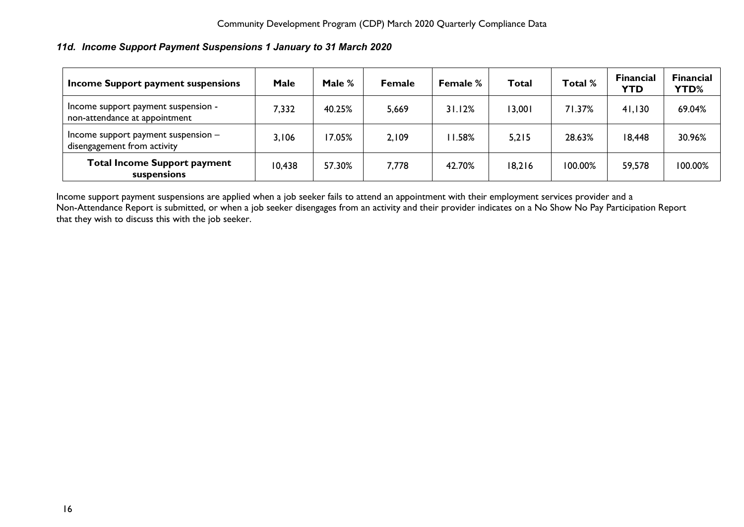# <span id="page-16-0"></span>*11d. Income Support Payment Suspensions 1 January to 31 March 2020*

| Income Support payment suspensions                                   | Male   | Male $%$ | <b>Female</b> | <b>Female %</b> | Total  | Total % | <b>Financial</b><br><b>YTD</b> | <b>Financial</b><br><b>YTD%</b> |
|----------------------------------------------------------------------|--------|----------|---------------|-----------------|--------|---------|--------------------------------|---------------------------------|
| Income support payment suspension -<br>non-attendance at appointment | 7,332  | 40.25%   | 5,669         | 31.12%          | 13,001 | 71.37%  | 41,130                         | 69.04%                          |
| Income support payment suspension $-$<br>disengagement from activity | 3,106  | 7.05%    | 2,109         | 11.58%          | 5,215  | 28.63%  | 18,448                         | 30.96%                          |
| <b>Total Income Support payment</b><br>suspensions                   | 10,438 | 57.30%   | 7,778         | 42.70%          | 18,216 | 100.00% | 59,578                         | 100.00%                         |

Income support payment suspensions are applied when a job seeker fails to attend an appointment with their employment services provider and a Non-Attendance Report is submitted, or when a job seeker disengages from an activity and their provider indicates on a No Show No Pay Participation Report that they wish to discuss this with the job seeker.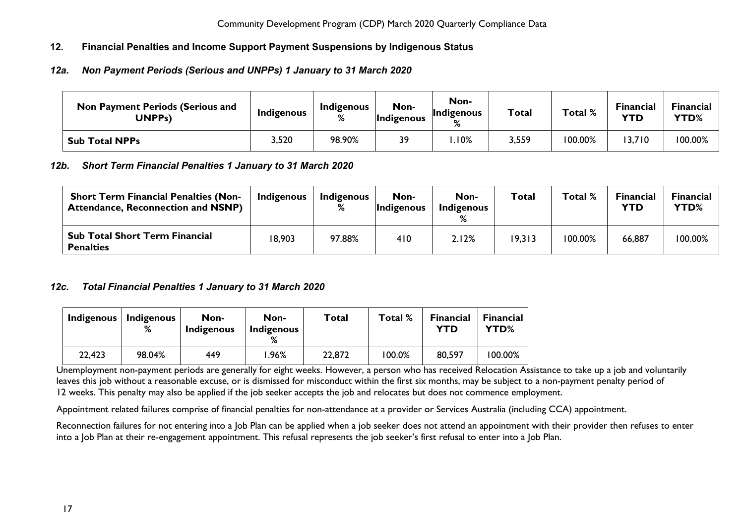# <span id="page-17-0"></span>**12. Financial Penalties and Income Support Payment Suspensions by Indigenous Status**

# <span id="page-17-1"></span>*12a. Non Payment Periods (Serious and UNPPs) 1 January to 31 March 2020*

| <b>Non Payment Periods (Serious and</b><br>UNPPs) | Indigenous | <b>Indigenous</b><br>℅ | Non-<br><b>Indigenous</b> | Non-<br>Indigenous<br>$\mathsf{o}$ | <b>Total</b> | Total % | <b>Financial</b><br>YTD | Financial<br>YTD% |
|---------------------------------------------------|------------|------------------------|---------------------------|------------------------------------|--------------|---------|-------------------------|-------------------|
| <b>Sub Total NPPs</b>                             | 3,520      | 98.90%                 | 39                        | .10%                               | 3,559        | 100.00% | 13,710                  | 100.00%           |

### <span id="page-17-2"></span>*12b. Short Term Financial Penalties 1 January to 31 March 2020*

| <b>Short Term Financial Penalties (Non-</b><br><b>Attendance, Reconnection and NSNP)</b> | Indigenous | Indigenous | Non-<br>Indigenous | Non-<br>Indigenous | Total  | Total %    | <b>Financial</b><br>YTD | Financial<br>YTD% |
|------------------------------------------------------------------------------------------|------------|------------|--------------------|--------------------|--------|------------|-------------------------|-------------------|
| <b>Sub Total Short Term Financial</b><br><b>Penalties</b>                                | 18,903     | 97.88%     | 410                | 2.12%              | 19,313 | $'00.00\%$ | 66,887                  | 100.00%           |

### <span id="page-17-3"></span>*12c. Total Financial Penalties 1 January to 31 March 2020*

| <b>Indigenous</b> | Indigenous<br>% | Non-<br>Indigenous | Non-<br>Indigenous | Total  | Total % | <b>Financial</b><br>YTD | <b>Financial</b><br>YTD% |
|-------------------|-----------------|--------------------|--------------------|--------|---------|-------------------------|--------------------------|
| 22,423            | 98.04%          | 449                | $.96\%$            | 22,872 | 100.0%  | 80,597                  | 100.00%                  |

Unemployment non-payment periods are generally for eight weeks. However, a person who has received Relocation Assistance to take up a job and voluntarily leaves this job without a reasonable excuse, or is dismissed for misconduct within the first six months, may be subject to a non-payment penalty period of 12 weeks. This penalty may also be applied if the job seeker accepts the job and relocates but does not commence employment.

Appointment related failures comprise of financial penalties for non-attendance at a provider or Services Australia (including CCA) appointment.

Reconnection failures for not entering into a Job Plan can be applied when a job seeker does not attend an appointment with their provider then refuses to enter into a Job Plan at their re-engagement appointment. This refusal represents the job seeker's first refusal to enter into a Job Plan.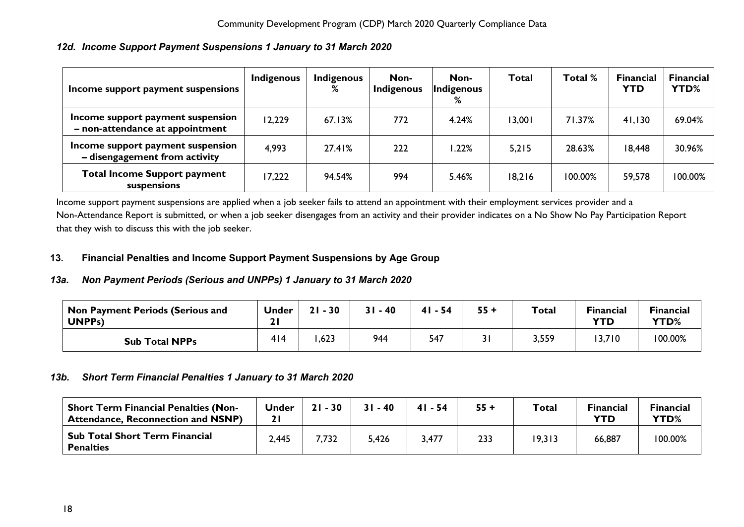# <span id="page-18-0"></span>*12d. Income Support Payment Suspensions 1 January to 31 March 2020*

| Income support payment suspensions                                   | <b>Indigenous</b> | <b>Indigenous</b><br>% | Non-<br>Indigenous | Non-<br>Indigenous<br>% | <b>Total</b> | Total % | <b>Financial</b><br><b>YTD</b> | <b>Financial</b><br><b>YTD%</b> |
|----------------------------------------------------------------------|-------------------|------------------------|--------------------|-------------------------|--------------|---------|--------------------------------|---------------------------------|
| Income support payment suspension<br>- non-attendance at appointment | 12,229            | 67.13%                 | 772                | 4.24%                   | 13,001       | 71.37%  | 41,130                         | 69.04%                          |
| Income support payment suspension<br>- disengagement from activity   | 4,993             | 27.41%                 | 222                | .22%                    | 5,215        | 28.63%  | 18,448                         | 30.96%                          |
| <b>Total Income Support payment</b><br>suspensions                   | 17,222            | 94.54%                 | 994                | 5.46%                   | 18,216       | 100.00% | 59,578                         | 100.00%                         |

Income support payment suspensions are applied when a job seeker fails to attend an appointment with their employment services provider and a Non-Attendance Report is submitted, or when a job seeker disengages from an activity and their provider indicates on a No Show No Pay Participation Report that they wish to discuss this with the job seeker.

## <span id="page-18-1"></span>**13. Financial Penalties and Income Support Payment Suspensions by Age Group**

# <span id="page-18-2"></span>*13a. Non Payment Periods (Serious and UNPPs) 1 January to 31 March 2020*

| Non Payment Periods (Serious and<br>UNPP <sub>S</sub> ) | Under<br>21 | $-30$<br>21 | $31 - 40$ | $41 - 54$ | $55 +$ | Total | <b>Financial</b><br><b>YTD</b> | <b>Financial</b><br>YTD% |
|---------------------------------------------------------|-------------|-------------|-----------|-----------|--------|-------|--------------------------------|--------------------------|
| <b>Sub Total NPPs</b>                                   | 414         | ,623        | 944       | 547       | 31     | 3,559 | 3,710                          | 100.00%                  |

# <span id="page-18-3"></span>*13b. Short Term Financial Penalties 1 January to 31 March 2020*

<span id="page-18-4"></span>

| <b>Short Term Financial Penalties (Non-</b><br><b>Attendance, Reconnection and NSNP)</b> | <b>Under</b> | $21 - 30$ | $31 - 40$ | $41 - 54$ | $55 +$ | Total  | <b>Financial</b><br><b>YTD</b> | <b>Financial</b><br>YTD% |
|------------------------------------------------------------------------------------------|--------------|-----------|-----------|-----------|--------|--------|--------------------------------|--------------------------|
| <b>Sub Total Short Term Financial</b><br><b>Penalties</b>                                | 2,445        | 7,732     | 5,426     | 3,477     | 233    | 19,313 | 66,887                         | 100.00%                  |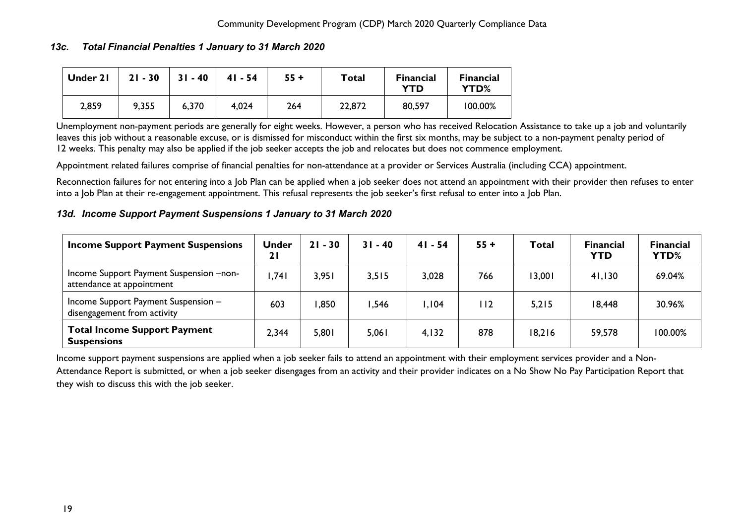## *13c. Total Financial Penalties 1 January to 31 March 2020*

| Under 21 | $21 - 30$ | $31 - 40$ | $41 - 54$ | $55 +$ | Total  | <b>Financial</b><br>YTD | <b>Financial</b><br>YTD% |
|----------|-----------|-----------|-----------|--------|--------|-------------------------|--------------------------|
| 2,859    | 9,355     | 6,370     | 4,024     | 264    | 22,872 | 80,597                  | 100.00%                  |

Unemployment non-payment periods are generally for eight weeks. However, a person who has received Relocation Assistance to take up a job and voluntarily leaves this job without a reasonable excuse, or is dismissed for misconduct within the first six months, may be subject to a non-payment penalty period of 12 weeks. This penalty may also be applied if the job seeker accepts the job and relocates but does not commence employment.

Appointment related failures comprise of financial penalties for non-attendance at a provider or Services Australia (including CCA) appointment.

Reconnection failures for not entering into a Job Plan can be applied when a job seeker does not attend an appointment with their provider then refuses to enter into a Job Plan at their re-engagement appointment. This refusal represents the job seeker's first refusal to enter into a Job Plan.

### <span id="page-19-0"></span>*13d. Income Support Payment Suspensions 1 January to 31 March 2020*

| <b>Income Support Payment Suspensions</b>                            | <b>Under</b><br>21 | $21 - 30$ | $31 - 40$ | $41 - 54$ | $55 +$ | Total  | <b>Financial</b><br><b>YTD</b> | <b>Financial</b><br><b>YTD%</b> |
|----------------------------------------------------------------------|--------------------|-----------|-----------|-----------|--------|--------|--------------------------------|---------------------------------|
| Income Support Payment Suspension -non-<br>attendance at appointment | ,741               | 3,951     | 3,515     | 3,028     | 766    | 13,001 | 41,130                         | 69.04%                          |
| Income Support Payment Suspension -<br>disengagement from activity   | 603                | .850      | .546      | .104      | 112    | 5,215  | 18,448                         | 30.96%                          |
| <b>Total Income Support Payment</b><br><b>Suspensions</b>            | 2,344              | 5,801     | 5,061     | 4,132     | 878    | 18,216 | 59,578                         | 100.00%                         |

Income support payment suspensions are applied when a job seeker fails to attend an appointment with their employment services provider and a Non-Attendance Report is submitted, or when a job seeker disengages from an activity and their provider indicates on a No Show No Pay Participation Report that they wish to discuss this with the job seeker.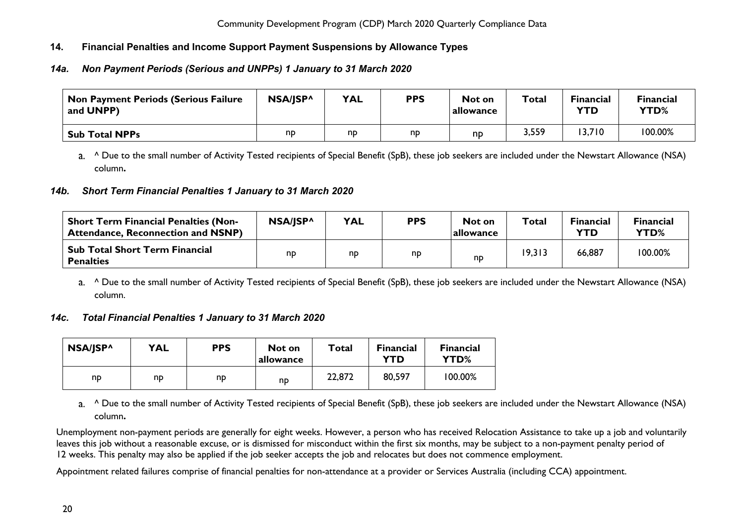# <span id="page-20-0"></span>**14. Financial Penalties and Income Support Payment Suspensions by Allowance Types**

# <span id="page-20-1"></span>*14a. Non Payment Periods (Serious and UNPPs) 1 January to 31 March 2020*

| <b>Non Payment Periods (Serious Failure</b><br>and UNPP) | NSA/JSP^ | <b>YAL</b> | <b>PPS</b> | Not on<br>allowance | Total | <b>Financial</b><br>YTD | <b>Financial</b><br><b>YTD%</b> |
|----------------------------------------------------------|----------|------------|------------|---------------------|-------|-------------------------|---------------------------------|
| <b>Sub Total NPPs</b>                                    | np       | np         | np         | nd                  | 3,559 | 13,710                  | 100.00%                         |

a. ^ Due to the small number of Activity Tested recipients of Special Benefit (SpB), these job seekers are included under the Newstart Allowance (NSA) column**.**

### <span id="page-20-2"></span>*14b. Short Term Financial Penalties 1 January to 31 March 2020*

| <b>Short Term Financial Penalties (Non-</b><br><b>Attendance, Reconnection and NSNP)</b> | NSA/JSP^ | <b>YAL</b> | <b>PPS</b> | Not on<br>allowance | Total  | <b>Financial</b><br><b>YTD</b> | <b>Financial</b><br>YTD% |
|------------------------------------------------------------------------------------------|----------|------------|------------|---------------------|--------|--------------------------------|--------------------------|
| <b>Sub Total Short Term Financial</b><br><b>Penalties</b>                                | np       | np         | np         | n <sub>D</sub>      | 19,313 | 66,887                         | 100.00%                  |

a. <sup>^</sup> Due to the small number of Activity Tested recipients of Special Benefit (SpB), these job seekers are included under the Newstart Allowance (NSA) column.

### <span id="page-20-3"></span>*14c. Total Financial Penalties 1 January to 31 March 2020*

| NSA/JSP^ | <b>YAL</b> | <b>PPS</b> | Not on<br>allowance | Total  | <b>Financial</b><br><b>YTD</b> | <b>Financial</b><br>YTD% |
|----------|------------|------------|---------------------|--------|--------------------------------|--------------------------|
| np       | np         | np         | np                  | 22,872 | 80,597                         | 100.00%                  |

a. <sup>^</sup> Due to the small number of Activity Tested recipients of Special Benefit (SpB), these job seekers are included under the Newstart Allowance (NSA) column**.**

Unemployment non-payment periods are generally for eight weeks. However, a person who has received Relocation Assistance to take up a job and voluntarily leaves this job without a reasonable excuse, or is dismissed for misconduct within the first six months, may be subject to a non-payment penalty period of 12 weeks. This penalty may also be applied if the job seeker accepts the job and relocates but does not commence employment.

Appointment related failures comprise of financial penalties for non-attendance at a provider or Services Australia (including CCA) appointment.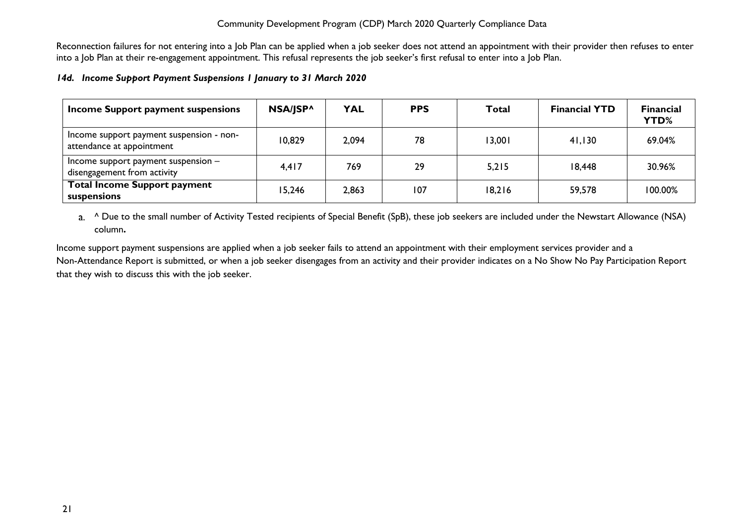Reconnection failures for not entering into a Job Plan can be applied when a job seeker does not attend an appointment with their provider then refuses to enter into a Job Plan at their re-engagement appointment. This refusal represents the job seeker's first refusal to enter into a Job Plan.

#### <span id="page-21-0"></span>*14d. Income Support Payment Suspensions 1 January to 31 March 2020*

| Income Support payment suspensions                                    | NSA/JSP^ | <b>YAL</b> | <b>PPS</b> | Total  | <b>Financial YTD</b> | <b>Financial</b><br>YTD% |
|-----------------------------------------------------------------------|----------|------------|------------|--------|----------------------|--------------------------|
| Income support payment suspension - non-<br>attendance at appointment | 10.829   | 2,094      | 78         | 13,001 | 41,130               | 69.04%                   |
| Income support payment suspension $-$<br>disengagement from activity  | 4,417    | 769        | 29         | 5,215  | 18,448               | 30.96%                   |
| <b>Total Income Support payment</b><br>suspensions                    | 15.246   | 2,863      | 107        | 18,216 | 59,578               | $100.00\%$               |

a. <sup>^</sup> Due to the small number of Activity Tested recipients of Special Benefit (SpB), these job seekers are included under the Newstart Allowance (NSA) column**.**

Income support payment suspensions are applied when a job seeker fails to attend an appointment with their employment services provider and a Non-Attendance Report is submitted, or when a job seeker disengages from an activity and their provider indicates on a No Show No Pay Participation Report that they wish to discuss this with the job seeker.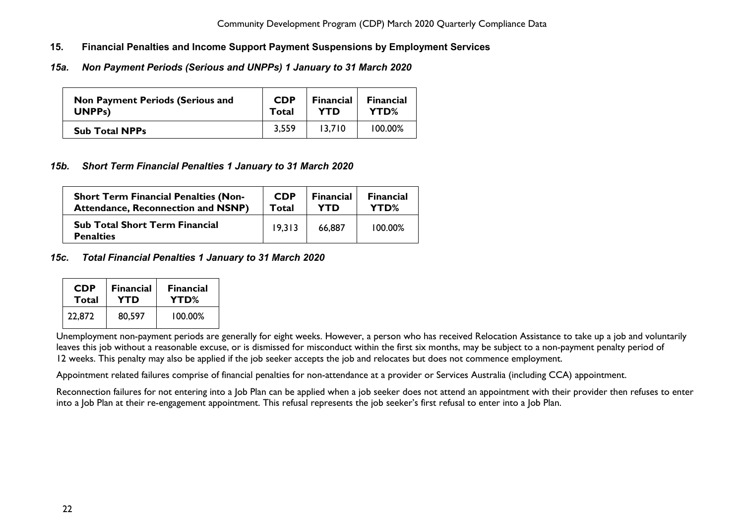- <span id="page-22-0"></span>**15. Financial Penalties and Income Support Payment Suspensions by Employment Services**
- <span id="page-22-1"></span>*15a. Non Payment Periods (Serious and UNPPs) 1 January to 31 March 2020*

| <b>Non Payment Periods (Serious and</b> | <b>CDP</b> | <b>Financial</b> | <b>Financial</b> |
|-----------------------------------------|------------|------------------|------------------|
| UNPP <sub>s</sub> )                     | Total      | YTD              | YTD%             |
| <b>Sub Total NPPs</b>                   | 3,559      | 13.710           | 100.00%          |

### <span id="page-22-2"></span>*15b. Short Term Financial Penalties 1 January to 31 March 2020*

| <b>Short Term Financial Penalties (Non-</b>               | <b>CDP</b> | <b>Financial</b> | <b>Financial</b> |
|-----------------------------------------------------------|------------|------------------|------------------|
| <b>Attendance, Reconnection and NSNP)</b>                 | Total      | YTD              | YTD%             |
| <b>Sub Total Short Term Financial</b><br><b>Penalties</b> | 19.313     | 66,887           | 100.00%          |

#### <span id="page-22-3"></span>*15c. Total Financial Penalties 1 January to 31 March 2020*

| <b>CDP</b> | <b>Financial</b> | <b>Financial</b> |  |  |
|------------|------------------|------------------|--|--|
| Total      | YTD              | YTD%             |  |  |
| 22,872     | 80,597           | 100.00%          |  |  |

Unemployment non-payment periods are generally for eight weeks. However, a person who has received Relocation Assistance to take up a job and voluntarily leaves this job without a reasonable excuse, or is dismissed for misconduct within the first six months, may be subject to a non-payment penalty period of 12 weeks. This penalty may also be applied if the job seeker accepts the job and relocates but does not commence employment.

Appointment related failures comprise of financial penalties for non-attendance at a provider or Services Australia (including CCA) appointment.

Reconnection failures for not entering into a Job Plan can be applied when a job seeker does not attend an appointment with their provider then refuses to enter into a Job Plan at their re-engagement appointment. This refusal represents the job seeker's first refusal to enter into a Job Plan.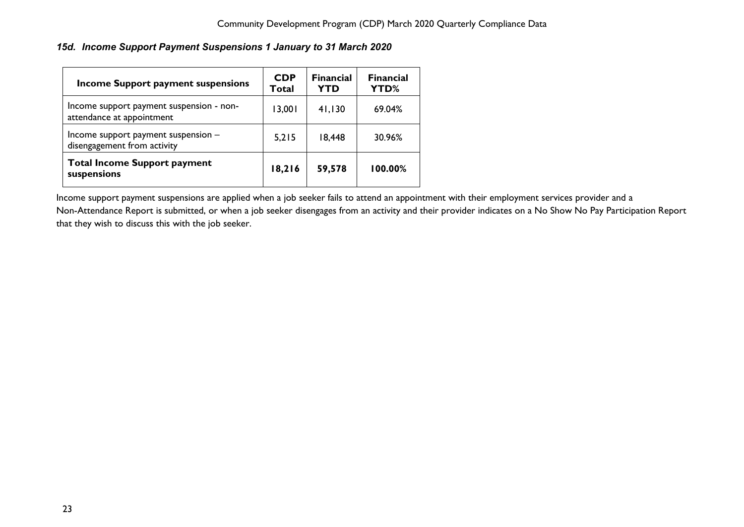# <span id="page-23-0"></span>*15d. Income Support Payment Suspensions 1 January to 31 March 2020*

| <b>Income Support payment suspensions</b>                             | <b>CDP</b><br>Total | <b>Financial</b><br>YTD | <b>Financial</b><br><b>YTD%</b> |
|-----------------------------------------------------------------------|---------------------|-------------------------|---------------------------------|
| Income support payment suspension - non-<br>attendance at appointment | 13,001              | 41,130                  | 69.04%                          |
| Income support payment suspension -<br>disengagement from activity    | 5,215               | 18,448                  | 30.96%                          |
| <b>Total Income Support payment</b><br>suspensions                    | 18,216              | 59,578                  | 100.00%                         |

Income support payment suspensions are applied when a job seeker fails to attend an appointment with their employment services provider and a Non-Attendance Report is submitted, or when a job seeker disengages from an activity and their provider indicates on a No Show No Pay Participation Report that they wish to discuss this with the job seeker.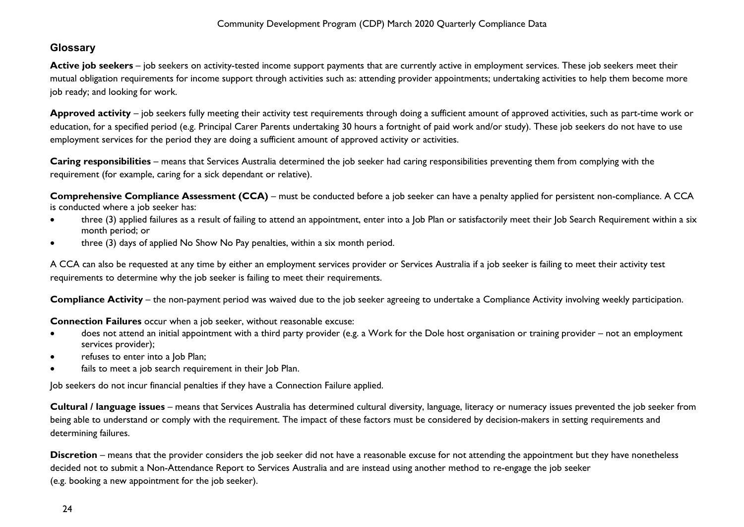# <span id="page-24-0"></span>**Glossary**

Active job seekers – job seekers on activity-tested income support payments that are currently active in employment services. These job seekers meet their mutual obligation requirements for income support through activities such as: attending provider appointments; undertaking activities to help them become more job ready; and looking for work.

**Approved activity** – job seekers fully meeting their activity test requirements through doing a sufficient amount of approved activities, such as part-time work or education, for a specified period (e.g. Principal Carer Parents undertaking 30 hours a fortnight of paid work and/or study). These job seekers do not have to use employment services for the period they are doing a sufficient amount of approved activity or activities.

**Caring responsibilities** – means that Services Australia determined the job seeker had caring responsibilities preventing them from complying with the requirement (for example, caring for a sick dependant or relative).

**Comprehensive Compliance Assessment (CCA)** – must be conducted before a job seeker can have a penalty applied for persistent non-compliance. A CCA is conducted where a job seeker has:

- three (3) applied failures as a result of failing to attend an appointment, enter into a Job Plan or satisfactorily meet their Job Search Requirement within a six month period; or
- three (3) days of applied No Show No Pay penalties, within a six month period.

A CCA can also be requested at any time by either an employment services provider or Services Australia if a job seeker is failing to meet their activity test requirements to determine why the job seeker is failing to meet their requirements.

**Compliance Activity** – the non-payment period was waived due to the job seeker agreeing to undertake a Compliance Activity involving weekly participation.

**Connection Failures** occur when a job seeker, without reasonable excuse:

- does not attend an initial appointment with a third party provider (e.g. a Work for the Dole host organisation or training provider not an employment services provider);
- refuses to enter into a Job Plan;
- fails to meet a job search requirement in their Job Plan.

Job seekers do not incur financial penalties if they have a Connection Failure applied.

**Cultural / language issues** – means that Services Australia has determined cultural diversity, language, literacy or numeracy issues prevented the job seeker from being able to understand or comply with the requirement. The impact of these factors must be considered by decision-makers in setting requirements and determining failures.

**Discretion** – means that the provider considers the job seeker did not have a reasonable excuse for not attending the appointment but they have nonetheless decided not to submit a Non-Attendance Report to Services Australia and are instead using another method to re-engage the job seeker (e.g. booking a new appointment for the job seeker).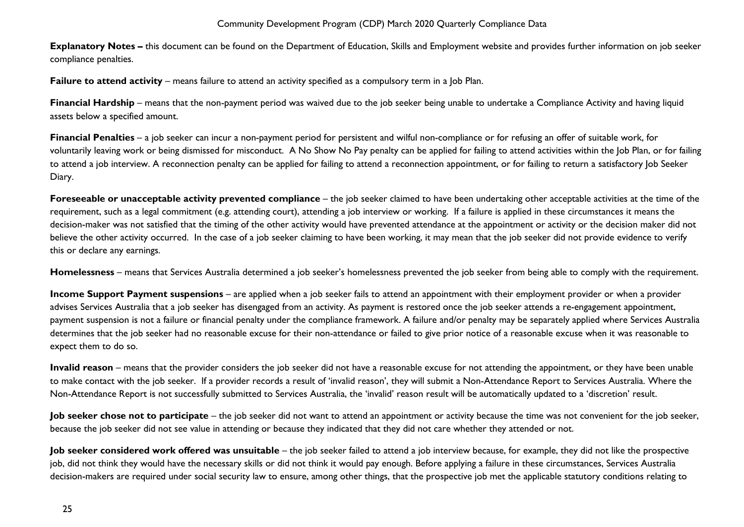**Explanatory Notes –** this document can be found on the Department of Education, Skills and Employment website and provides further information on job seeker compliance penalties.

**Failure to attend activity** – means failure to attend an activity specified as a compulsory term in a Job Plan.

**Financial Hardship** – means that the non-payment period was waived due to the job seeker being unable to undertake a Compliance Activity and having liquid assets below a specified amount.

**Financial Penalties** – a job seeker can incur a non-payment period for persistent and wilful non-compliance or for refusing an offer of suitable work, for voluntarily leaving work or being dismissed for misconduct. A No Show No Pay penalty can be applied for failing to attend activities within the Job Plan, or for failing to attend a job interview. A reconnection penalty can be applied for failing to attend a reconnection appointment, or for failing to return a satisfactory Job Seeker Diary.

**Foreseeable or unacceptable activity prevented compliance** – the job seeker claimed to have been undertaking other acceptable activities at the time of the requirement, such as a legal commitment (e.g. attending court), attending a job interview or working. If a failure is applied in these circumstances it means the decision-maker was not satisfied that the timing of the other activity would have prevented attendance at the appointment or activity or the decision maker did not believe the other activity occurred. In the case of a job seeker claiming to have been working, it may mean that the job seeker did not provide evidence to verify this or declare any earnings.

**Homelessness** – means that Services Australia determined a job seeker's homelessness prevented the job seeker from being able to comply with the requirement.

**Income Support Payment suspensions** – are applied when a job seeker fails to attend an appointment with their employment provider or when a provider advises Services Australia that a job seeker has disengaged from an activity. As payment is restored once the job seeker attends a re-engagement appointment, payment suspension is not a failure or financial penalty under the compliance framework. A failure and/or penalty may be separately applied where Services Australia determines that the job seeker had no reasonable excuse for their non-attendance or failed to give prior notice of a reasonable excuse when it was reasonable to expect them to do so.

**Invalid reason** – means that the provider considers the job seeker did not have a reasonable excuse for not attending the appointment, or they have been unable to make contact with the job seeker. If a provider records a result of 'invalid reason', they will submit a Non-Attendance Report to Services Australia. Where the Non-Attendance Report is not successfully submitted to Services Australia, the 'invalid' reason result will be automatically updated to a 'discretion' result.

**Job seeker chose not to participate** – the job seeker did not want to attend an appointment or activity because the time was not convenient for the job seeker, because the job seeker did not see value in attending or because they indicated that they did not care whether they attended or not.

**Job seeker considered work offered was unsuitable** – the job seeker failed to attend a job interview because, for example, they did not like the prospective job, did not think they would have the necessary skills or did not think it would pay enough. Before applying a failure in these circumstances, Services Australia decision-makers are required under social security law to ensure, among other things, that the prospective job met the applicable statutory conditions relating to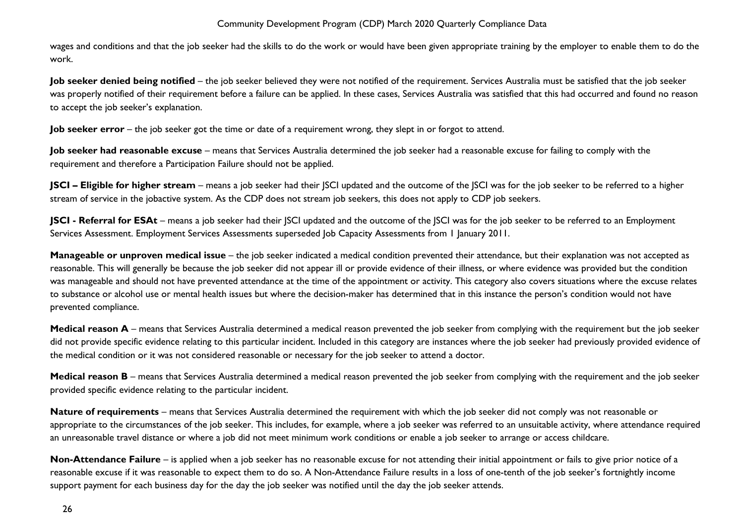wages and conditions and that the job seeker had the skills to do the work or would have been given appropriate training by the employer to enable them to do the work.

**Job seeker denied being notified** – the job seeker believed they were not notified of the requirement. Services Australia must be satisfied that the job seeker was properly notified of their requirement before a failure can be applied. In these cases, Services Australia was satisfied that this had occurred and found no reason to accept the job seeker's explanation.

**Job seeker error** – the job seeker got the time or date of a requirement wrong, they slept in or forgot to attend.

**Job seeker had reasonable excuse** – means that Services Australia determined the job seeker had a reasonable excuse for failing to comply with the requirement and therefore a Participation Failure should not be applied.

**JSCI – Eligible for higher stream** – means a job seeker had their JSCI updated and the outcome of the JSCI was for the job seeker to be referred to a higher stream of service in the jobactive system. As the CDP does not stream job seekers, this does not apply to CDP job seekers.

**JSCI - Referral for ESAt** – means a job seeker had their SCI updated and the outcome of the SCI was for the job seeker to be referred to an Employment Services Assessment. Employment Services Assessments superseded Job Capacity Assessments from 1 January 2011.

**Manageable or unproven medical issue** – the job seeker indicated a medical condition prevented their attendance, but their explanation was not accepted as reasonable. This will generally be because the job seeker did not appear ill or provide evidence of their illness, or where evidence was provided but the condition was manageable and should not have prevented attendance at the time of the appointment or activity. This category also covers situations where the excuse relates to substance or alcohol use or mental health issues but where the decision-maker has determined that in this instance the person's condition would not have prevented compliance.

**Medical reason A** – means that Services Australia determined a medical reason prevented the job seeker from complying with the requirement but the job seeker did not provide specific evidence relating to this particular incident. Included in this category are instances where the job seeker had previously provided evidence of the medical condition or it was not considered reasonable or necessary for the job seeker to attend a doctor.

**Medical reason B** – means that Services Australia determined a medical reason prevented the job seeker from complying with the requirement and the job seeker provided specific evidence relating to the particular incident.

**Nature of requirements** – means that Services Australia determined the requirement with which the job seeker did not comply was not reasonable or appropriate to the circumstances of the job seeker. This includes, for example, where a job seeker was referred to an unsuitable activity, where attendance required an unreasonable travel distance or where a job did not meet minimum work conditions or enable a job seeker to arrange or access childcare.

**Non-Attendance Failure** – is applied when a job seeker has no reasonable excuse for not attending their initial appointment or fails to give prior notice of a reasonable excuse if it was reasonable to expect them to do so. A Non-Attendance Failure results in a loss of one-tenth of the job seeker's fortnightly income support payment for each business day for the day the job seeker was notified until the day the job seeker attends.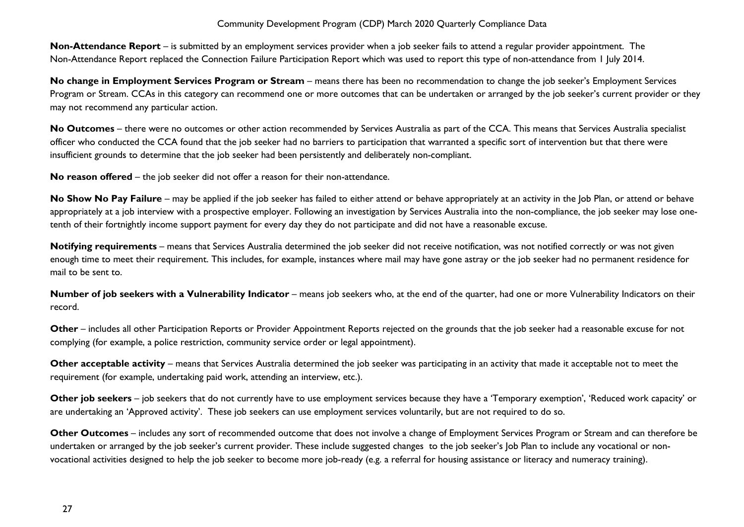**Non-Attendance Report** – is submitted by an employment services provider when a job seeker fails to attend a regular provider appointment. The Non-Attendance Report replaced the Connection Failure Participation Report which was used to report this type of non-attendance from 1 July 2014.

**No change in Employment Services Program or Stream** – means there has been no recommendation to change the job seeker's Employment Services Program or Stream. CCAs in this category can recommend one or more outcomes that can be undertaken or arranged by the job seeker's current provider or they may not recommend any particular action.

No Outcomes – there were no outcomes or other action recommended by Services Australia as part of the CCA. This means that Services Australia specialist officer who conducted the CCA found that the job seeker had no barriers to participation that warranted a specific sort of intervention but that there were insufficient grounds to determine that the job seeker had been persistently and deliberately non-compliant.

**No reason offered** – the job seeker did not offer a reason for their non-attendance.

No Show No Pay Failure – may be applied if the job seeker has failed to either attend or behave appropriately at an activity in the Job Plan, or attend or behave appropriately at a job interview with a prospective employer. Following an investigation by Services Australia into the non-compliance, the job seeker may lose onetenth of their fortnightly income support payment for every day they do not participate and did not have a reasonable excuse.

Notifying requirements – means that Services Australia determined the job seeker did not receive notification, was not notified correctly or was not given enough time to meet their requirement. This includes, for example, instances where mail may have gone astray or the job seeker had no permanent residence for mail to be sent to.

**Number of job seekers with a Vulnerability Indicator** – means job seekers who, at the end of the quarter, had one or more Vulnerability Indicators on their record.

**Other** – includes all other Participation Reports or Provider Appointment Reports rejected on the grounds that the job seeker had a reasonable excuse for not complying (for example, a police restriction, community service order or legal appointment).

**Other acceptable activity** – means that Services Australia determined the job seeker was participating in an activity that made it acceptable not to meet the requirement (for example, undertaking paid work, attending an interview, etc.).

**Other job seekers** – job seekers that do not currently have to use employment services because they have a 'Temporary exemption', 'Reduced work capacity' or are undertaking an 'Approved activity'. These job seekers can use employment services voluntarily, but are not required to do so.

**Other Outcomes** – includes any sort of recommended outcome that does not involve a change of Employment Services Program or Stream and can therefore be undertaken or arranged by the job seeker's current provider. These include suggested changes to the job seeker's Job Plan to include any vocational or nonvocational activities designed to help the job seeker to become more job-ready (e.g. a referral for housing assistance or literacy and numeracy training).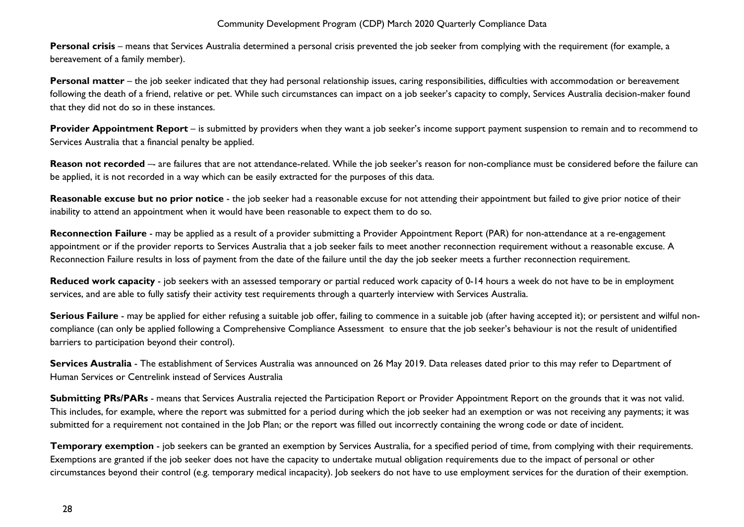**Personal crisis** – means that Services Australia determined a personal crisis prevented the job seeker from complying with the requirement (for example, a bereavement of a family member).

**Personal matter** – the job seeker indicated that they had personal relationship issues, caring responsibilities, difficulties with accommodation or bereavement following the death of a friend, relative or pet. While such circumstances can impact on a job seeker's capacity to comply, Services Australia decision-maker found that they did not do so in these instances.

**Provider Appointment Report** – is submitted by providers when they want a job seeker's income support payment suspension to remain and to recommend to Services Australia that a financial penalty be applied.

Reason not recorded -- are failures that are not attendance-related. While the job seeker's reason for non-compliance must be considered before the failure can be applied, it is not recorded in a way which can be easily extracted for the purposes of this data.

**Reasonable excuse but no prior notice** - the job seeker had a reasonable excuse for not attending their appointment but failed to give prior notice of their inability to attend an appointment when it would have been reasonable to expect them to do so.

**Reconnection Failure** - may be applied as a result of a provider submitting a Provider Appointment Report (PAR) for non-attendance at a re-engagement appointment or if the provider reports to Services Australia that a job seeker fails to meet another reconnection requirement without a reasonable excuse. A Reconnection Failure results in loss of payment from the date of the failure until the day the job seeker meets a further reconnection requirement.

**Reduced work capacity** - job seekers with an assessed temporary or partial reduced work capacity of 0-14 hours a week do not have to be in employment services, and are able to fully satisfy their activity test requirements through a quarterly interview with Services Australia.

**Serious Failure** - may be applied for either refusing a suitable job offer, failing to commence in a suitable job (after having accepted it); or persistent and wilful noncompliance (can only be applied following a Comprehensive Compliance Assessment to ensure that the job seeker's behaviour is not the result of unidentified barriers to participation beyond their control).

Services Australia - The establishment of Services Australia was announced on 26 May 2019. Data releases dated prior to this may refer to Department of Human Services or Centrelink instead of Services Australia

**Submitting PRs/PARs** - means that Services Australia rejected the Participation Report or Provider Appointment Report on the grounds that it was not valid. This includes, for example, where the report was submitted for a period during which the job seeker had an exemption or was not receiving any payments; it was submitted for a requirement not contained in the Job Plan; or the report was filled out incorrectly containing the wrong code or date of incident.

**Temporary exemption** - job seekers can be granted an exemption by Services Australia, for a specified period of time, from complying with their requirements. Exemptions are granted if the job seeker does not have the capacity to undertake mutual obligation requirements due to the impact of personal or other circumstances beyond their control (e.g. temporary medical incapacity). Job seekers do not have to use employment services for the duration of their exemption.